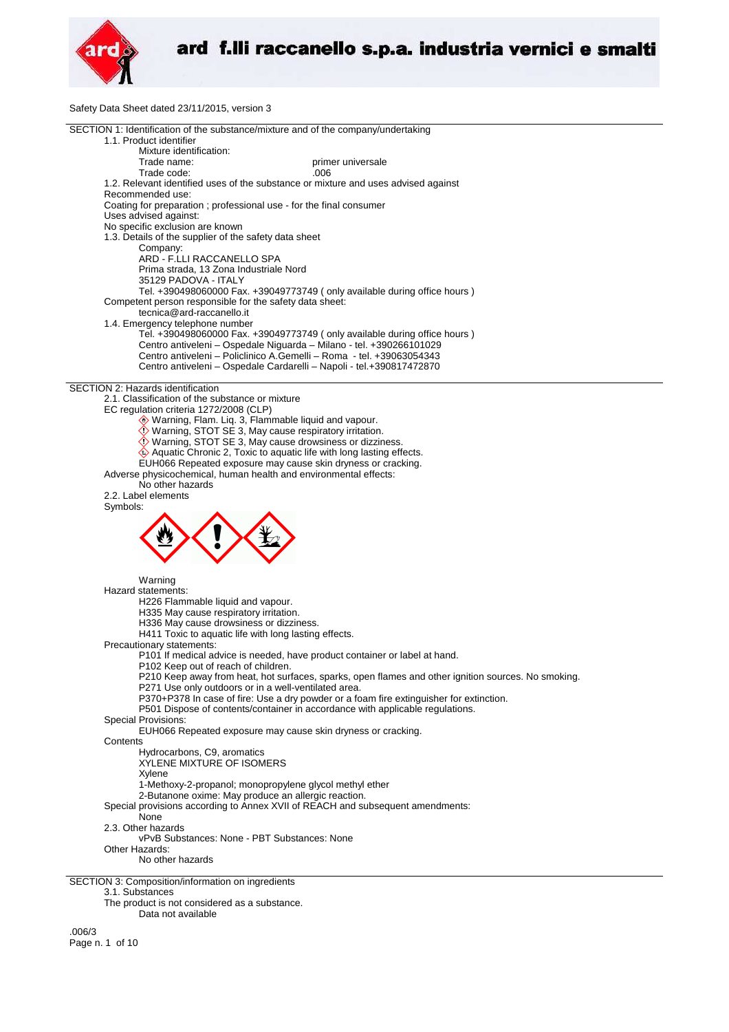

Safety Data Sheet dated 23/11/2015, version 3



Data not available

.006/3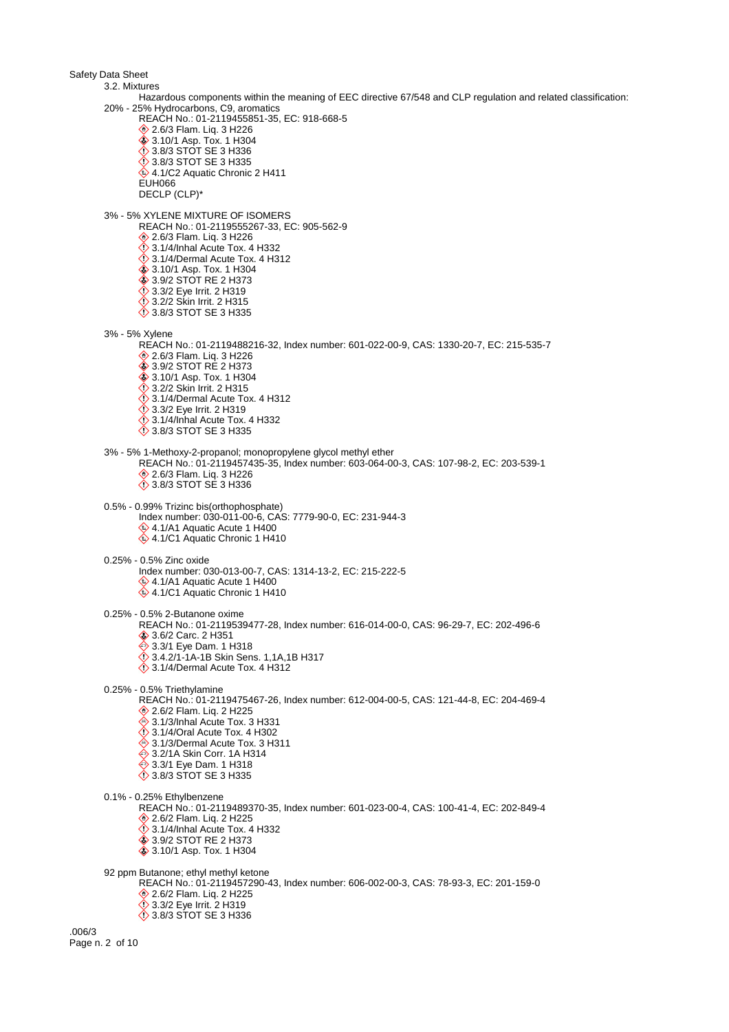Safety Data Sheet 3.2. Mixtures Hazardous components within the meaning of EEC directive 67/548 and CLP regulation and related classification: 20% - 25% Hydrocarbons, C9, aromatics REACH No.: 01-2119455851-35, EC: 918-668-5 **♦ 2.6/3 Flam. Liq. 3 H226**  3.10/1 Asp. Tox. 1 H304 3.8/3 STOT SE 3 H336 3.8/3 STOT SE 3 H335  $4.1/C2$  Aquatic Chronic 2 H411 EUH066 DECLP (CLP)\* 3% - 5% XYLENE MIXTURE OF ISOMERS REACH No.: 01-2119555267-33, EC: 905-562-9 **♦ 2.6/3 Flam. Lig. 3 H226**  $\diamondsuit$  3.1/4/Inhal Acute Tox. 4 H332  $\ddot{\diamond}$  3.1/4/Dermal Acute Tox. 4 H312 3.10/1 Asp. Tox. 1 H304 3.9/2 STOT RE 2 H373 3.3/2 Eye Irrit. 2 H319 3.2/2 Skin Irrit. 2 H315 **12 3.8/3 STOT SE 3 H335** 3% - 5% Xylene REACH No.: 01-2119488216-32, Index number: 601-022-00-9, CAS: 1330-20-7, EC: 215-535-7 **♦ 2.6/3 Flam. Liq. 3 H226 ♦ 3.9/2 STOT RE 2 H373 ♦ 3.10/1 Asp. Tox. 1 H304**  $\diamond$  3.2/2 Skin Irrit. 2 H315  $\ddot{\diamond}$  3.1/4/Dermal Acute Tox. 4 H312 **3.3/2 Eye Irrit. 2 H319**  $\Diamond$  3.1/4/Inhal Acute Tox. 4 H332 3.8/3 STOT SE 3 H335 3% - 5% 1-Methoxy-2-propanol; monopropylene glycol methyl ether REACH No.: 01-2119457435-35, Index number: 603-064-00-3, CAS: 107-98-2, EC: 203-539-1 **♦ 2.6/3 Flam. Liq. 3 H226** 3.8/3 STOT SE 3 H336 0.5% - 0.99% Trizinc bis(orthophosphate) Index number: 030-011-00-6, CAS: 7779-90-0, EC: 231-944-3 4.1/A1 Aquatic Acute 1 H400 4.1/C1 Aquatic Chronic 1 H410 0.25% - 0.5% Zinc oxide Index number: 030-013-00-7, CAS: 1314-13-2, EC: 215-222-5 4.1/A1 Aquatic Acute 1 H400  $4.1/C1$  Aquatic Chronic 1 H410 0.25% - 0.5% 2-Butanone oxime REACH No.: 01-2119539477-28, Index number: 616-014-00-0, CAS: 96-29-7, EC: 202-496-6 3.6/2 Carc. 2 H351 **♦ 3.3/1 Eye Dam. 1 H318** 3.4.2/1-1A-1B Skin Sens. 1,1A,1B H317  $\diamondsuit$  3.1/4/Dermal Acute Tox. 4 H312 0.25% - 0.5% Triethylamine REACH No.: 01-2119475467-26, Index number: 612-004-00-5, CAS: 121-44-8, EC: 204-469-4 2.6/2 Flam. Liq. 2 H225 ♦ 3.1/3/Inhal Acute Tox. 3 H331  $\ddot{\diamond}$  3.1/4/Oral Acute Tox. 4 H302  $\hat{\otimes}$  3.1/3/Dermal Acute Tox. 3 H311 **♦ 3.2/1A Skin Corr. 1A H314 ♦ 3.3/1 Eye Dam. 1 H318** 3.8/3 STOT SE 3 H335 0.1% - 0.25% Ethylbenzene REACH No.: 01-2119489370-35, Index number: 601-023-00-4, CAS: 100-41-4, EC: 202-849-4 2.6/2 Flam. Liq. 2 H225 3.1/4/Inhal Acute Tox. 4 H332 3.9/2 STOT RE 2 H373  $\hat{\textbf{3}}$  3.10/1 Asp. Tox. 1 H304 92 ppm Butanone; ethyl methyl ketone REACH No.: 01-2119457290-43, Index number: 606-002-00-3, CAS: 78-93-3, EC: 201-159-0 **♦ 2.6/2 Flam. Lig. 2 H225**  $\ddot{\diamond}$  3.3/2 Eye Irrit. 2 H319 3.8/3 STOT SE 3 H336 .006/3 Page n. 2 of 10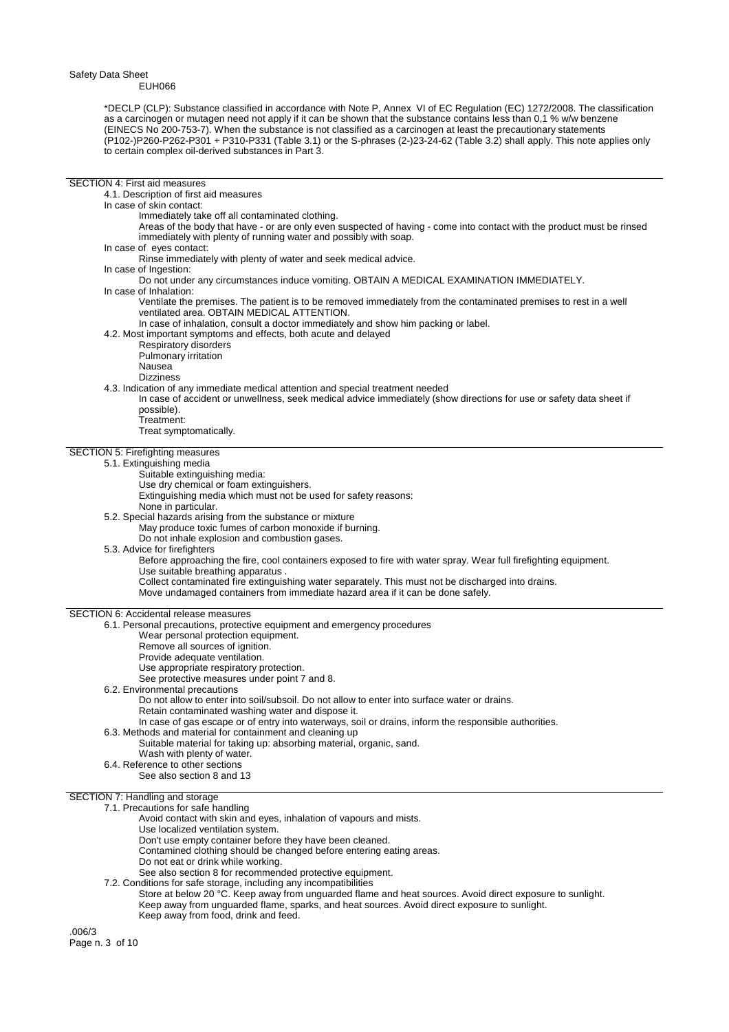SECTION 4: First aid measures

\*DECLP (CLP): Substance classified in accordance with Note P, Annex VI of EC Regulation (EC) 1272/2008. The classification as a carcinogen or mutagen need not apply if it can be shown that the substance contains less than 0,1 % w/w benzene (EINECS No 200-753-7). When the substance is not classified as a carcinogen at least the precautionary statements (P102-)P260-P262-P301 + P310-P331 (Table 3.1) or the S-phrases (2-)23-24-62 (Table 3.2) shall apply. This note applies only to certain complex oil-derived substances in Part 3.

## 4.1. Description of first aid measures In case of skin contact: Immediately take off all contaminated clothing. Areas of the body that have - or are only even suspected of having - come into contact with the product must be rinsed immediately with plenty of running water and possibly with soap. In case of eyes contact: Rinse immediately with plenty of water and seek medical advice. In case of Ingestion: Do not under any circumstances induce vomiting. OBTAIN A MEDICAL EXAMINATION IMMEDIATELY. In case of Inhalation: Ventilate the premises. The patient is to be removed immediately from the contaminated premises to rest in a well ventilated area. OBTAIN MEDICAL ATTENTION. In case of inhalation, consult a doctor immediately and show him packing or label. 4.2. Most important symptoms and effects, both acute and delayed Respiratory disorders Pulmonary irritation Nausea Dizziness 4.3. Indication of any immediate medical attention and special treatment needed In case of accident or unwellness, seek medical advice immediately (show directions for use or safety data sheet if possible). Treatment: Treat symptomatically. SECTION 5: Firefighting measures 5.1. Extinguishing media Suitable extinguishing media: Use dry chemical or foam extinguishers. Extinguishing media which must not be used for safety reasons: None in particular. 5.2. Special hazards arising from the substance or mixture May produce toxic fumes of carbon monoxide if burning. Do not inhale explosion and combustion gases. 5.3. Advice for firefighters Before approaching the fire, cool containers exposed to fire with water spray. Wear full firefighting equipment. Use suitable breathing apparatus . Collect contaminated fire extinguishing water separately. This must not be discharged into drains. Move undamaged containers from immediate hazard area if it can be done safely. SECTION 6: Accidental release measures 6.1. Personal precautions, protective equipment and emergency procedures Wear personal protection equipment. Remove all sources of ignition. Provide adequate ventilation. Use appropriate respiratory protection. See protective measures under point 7 and 8. 6.2. Environmental precautions Do not allow to enter into soil/subsoil. Do not allow to enter into surface water or drains. Retain contaminated washing water and dispose it. In case of gas escape or of entry into waterways, soil or drains, inform the responsible authorities. 6.3. Methods and material for containment and cleaning up Suitable material for taking up: absorbing material, organic, sand. Wash with plenty of water. 6.4. Reference to other sections See also section 8 and 13 SECTION 7: Handling and storage 7.1. Precautions for safe handling Avoid contact with skin and eyes, inhalation of vapours and mists. Use localized ventilation system. Don't use empty container before they have been cleaned. Contamined clothing should be changed before entering eating areas. Do not eat or drink while working. See also section 8 for recommended protective equipment. 7.2. Conditions for safe storage, including any incompatibilities Store at below 20 °C. Keep away from unguarded flame and heat sources. Avoid direct exposure to sunlight. Keep away from unguarded flame, sparks, and heat sources. Avoid direct exposure to sunlight. Keep away from food, drink and feed.

.006/3 Page n. 3 of 10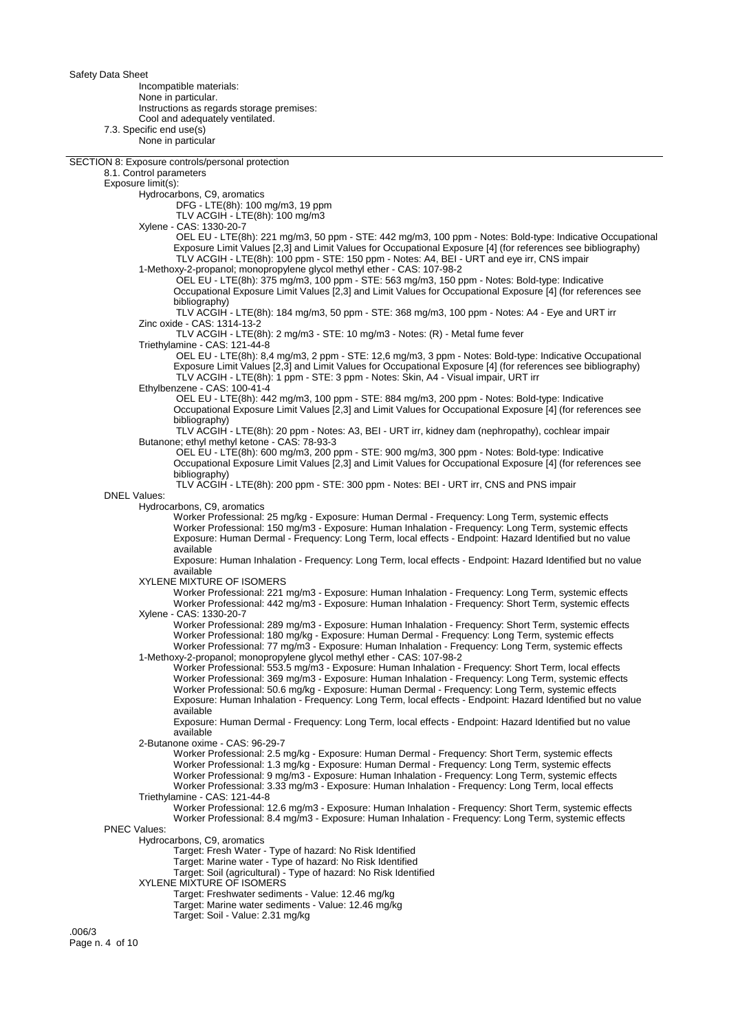Incompatible materials: None in particular. Instructions as regards storage premises: Cool and adequately ventilated. 7.3. Specific end use(s) None in particular

SECTION 8: Exposure controls/personal protection

8.1. Control parameters

Exposure limit(s):

Hydrocarbons, C9, aromatics

DFG - LTE(8h): 100 mg/m3, 19 ppm

TLV ACGIH - LTE(8h): 100 mg/m3

Xylene - CAS: 1330-20-7

 OEL EU - LTE(8h): 221 mg/m3, 50 ppm - STE: 442 mg/m3, 100 ppm - Notes: Bold-type: Indicative Occupational Exposure Limit Values [2,3] and Limit Values for Occupational Exposure [4] (for references see bibliography) TLV ACGIH - LTE(8h): 100 ppm - STE: 150 ppm - Notes: A4, BEI - URT and eye irr, CNS impair

1-Methoxy-2-propanol; monopropylene glycol methyl ether - CAS: 107-98-2 OEL EU - LTE(8h): 375 mg/m3, 100 ppm - STE: 563 mg/m3, 150 ppm - Notes: Bold-type: Indicative Occupational Exposure Limit Values [2,3] and Limit Values for Occupational Exposure [4] (for references see bibliography)

 TLV ACGIH - LTE(8h): 184 mg/m3, 50 ppm - STE: 368 mg/m3, 100 ppm - Notes: A4 - Eye and URT irr Zinc oxide - CAS: 1314-13-2

TLV ACGIH - LTE(8h): 2 mg/m3 - STE: 10 mg/m3 - Notes: (R) - Metal fume fever

Triethylamine - CAS: 121-44-8

 OEL EU - LTE(8h): 8,4 mg/m3, 2 ppm - STE: 12,6 mg/m3, 3 ppm - Notes: Bold-type: Indicative Occupational Exposure Limit Values [2,3] and Limit Values for Occupational Exposure [4] (for references see bibliography) TLV ACGIH - LTE(8h): 1 ppm - STE: 3 ppm - Notes: Skin, A4 - Visual impair, URT irr

Ethylbenzene - CAS: 100-41-4

 OEL EU - LTE(8h): 442 mg/m3, 100 ppm - STE: 884 mg/m3, 200 ppm - Notes: Bold-type: Indicative Occupational Exposure Limit Values [2,3] and Limit Values for Occupational Exposure [4] (for references see bibliography)

 TLV ACGIH - LTE(8h): 20 ppm - Notes: A3, BEI - URT irr, kidney dam (nephropathy), cochlear impair Butanone; ethyl methyl ketone - CAS: 78-93-3

 OEL EU - LTE(8h): 600 mg/m3, 200 ppm - STE: 900 mg/m3, 300 ppm - Notes: Bold-type: Indicative Occupational Exposure Limit Values [2,3] and Limit Values for Occupational Exposure [4] (for references see bibliography)

TLV ACGIH - LTE(8h): 200 ppm - STE: 300 ppm - Notes: BEI - URT irr, CNS and PNS impair

Hydrocarbons, C9, aromatics

DNEL Values:

Worker Professional: 25 mg/kg - Exposure: Human Dermal - Frequency: Long Term, systemic effects Worker Professional: 150 mg/m3 - Exposure: Human Inhalation - Frequency: Long Term, systemic effects Exposure: Human Dermal - Frequency: Long Term, local effects - Endpoint: Hazard Identified but no value available

Exposure: Human Inhalation - Frequency: Long Term, local effects - Endpoint: Hazard Identified but no value available

XYLENE MIXTURE OF ISOMERS

Worker Professional: 221 mg/m3 - Exposure: Human Inhalation - Frequency: Long Term, systemic effects Worker Professional: 442 mg/m3 - Exposure: Human Inhalation - Frequency: Short Term, systemic effects Xylene - CAS: 1330-20-7

Worker Professional: 289 mg/m3 - Exposure: Human Inhalation - Frequency: Short Term, systemic effects Worker Professional: 180 mg/kg - Exposure: Human Dermal - Frequency: Long Term, systemic effects Worker Professional: 77 mg/m3 - Exposure: Human Inhalation - Frequency: Long Term, systemic effects 1-Methoxy-2-propanol; monopropylene glycol methyl ether - CAS: 107-98-2

Worker Professional: 553.5 mg/m3 - Exposure: Human Inhalation - Frequency: Short Term, local effects Worker Professional: 369 mg/m3 - Exposure: Human Inhalation - Frequency: Long Term, systemic effects Worker Professional: 50.6 mg/kg - Exposure: Human Dermal - Frequency: Long Term, systemic effects Exposure: Human Inhalation - Frequency: Long Term, local effects - Endpoint: Hazard Identified but no value available

Exposure: Human Dermal - Frequency: Long Term, local effects - Endpoint: Hazard Identified but no value available

2-Butanone oxime - CAS: 96-29-7

Worker Professional: 2.5 mg/kg - Exposure: Human Dermal - Frequency: Short Term, systemic effects Worker Professional: 1.3 mg/kg - Exposure: Human Dermal - Frequency: Long Term, systemic effects Worker Professional: 9 mg/m3 - Exposure: Human Inhalation - Frequency: Long Term, systemic effects Worker Professional: 3.33 mg/m3 - Exposure: Human Inhalation - Frequency: Long Term, local effects Triethylamine - CAS: 121-44-8

Worker Professional: 12.6 mg/m3 - Exposure: Human Inhalation - Frequency: Short Term, systemic effects Worker Professional: 8.4 mg/m3 - Exposure: Human Inhalation - Frequency: Long Term, systemic effects

PNEC Values:

Hydrocarbons, C9, aromatics

Target: Fresh Water - Type of hazard: No Risk Identified

Target: Marine water - Type of hazard: No Risk Identified

Target: Soil (agricultural) - Type of hazard: No Risk Identified

XYLENE MIXTURE OF ISOMERS

Target: Freshwater sediments - Value: 12.46 mg/kg Target: Marine water sediments - Value: 12.46 mg/kg

Target: Soil - Value: 2.31 mg/kg

.006/3 Page n. 4 of 10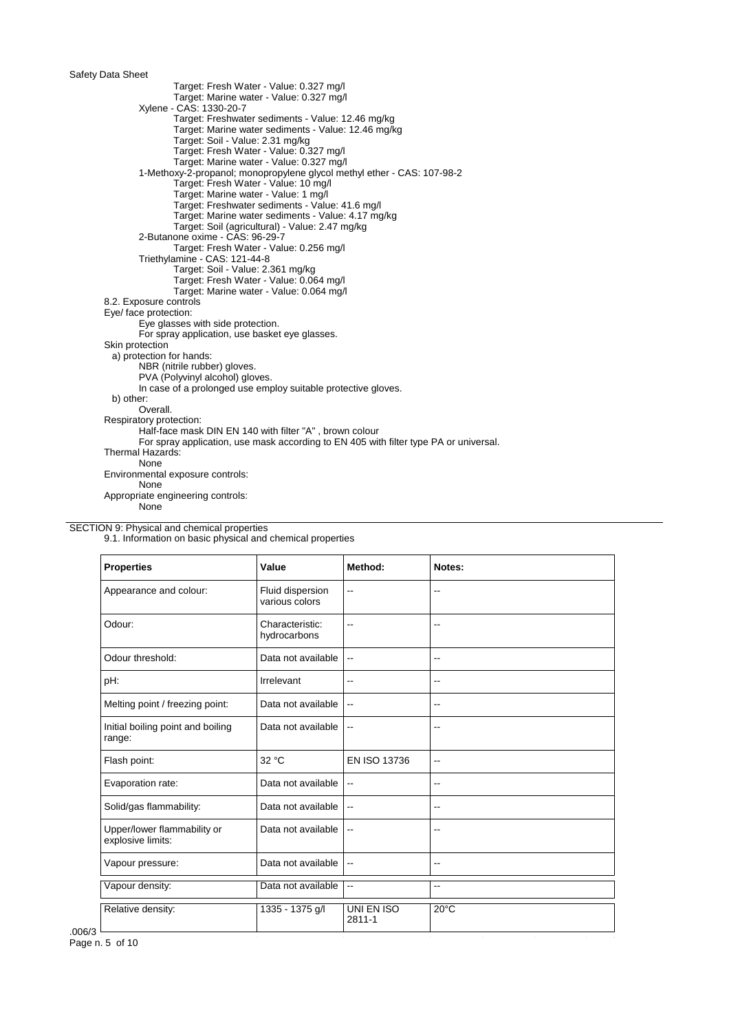Target: Fresh Water - Value: 0.327 mg/l Target: Marine water - Value: 0.327 mg/l Xylene - CAS: 1330-20-7 Target: Freshwater sediments - Value: 12.46 mg/kg Target: Marine water sediments - Value: 12.46 mg/kg Target: Soil - Value: 2.31 mg/kg Target: Fresh Water - Value: 0.327 mg/l Target: Marine water - Value: 0.327 mg/l 1-Methoxy-2-propanol; monopropylene glycol methyl ether - CAS: 107-98-2 Target: Fresh Water - Value: 10 mg/l Target: Marine water - Value: 1 mg/l Target: Freshwater sediments - Value: 41.6 mg/l Target: Marine water sediments - Value: 4.17 mg/kg Target: Soil (agricultural) - Value: 2.47 mg/kg 2-Butanone oxime - CAS: 96-29-7 Target: Fresh Water - Value: 0.256 mg/l Triethylamine - CAS: 121-44-8 Target: Soil - Value: 2.361 mg/kg Target: Fresh Water - Value: 0.064 mg/l Target: Marine water - Value: 0.064 mg/l 8.2. Exposure controls Eye/ face protection: Eye glasses with side protection. For spray application, use basket eye glasses. Skin protection a) protection for hands: NBR (nitrile rubber) gloves. PVA (Polyvinyl alcohol) gloves. In case of a prolonged use employ suitable protective gloves. b) other: Overall. Respiratory protection: Half-face mask DIN EN 140 with filter "A" , brown colour For spray application, use mask according to EN 405 with filter type PA or universal. Thermal Hazards: None Environmental exposure controls: None Appropriate engineering controls: None

SECTION 9: Physical and chemical properties

9.1. Information on basic physical and chemical properties

| <b>Properties</b>                                | Value                              | Method:                  | Notes:         |
|--------------------------------------------------|------------------------------------|--------------------------|----------------|
| Appearance and colour:                           | Fluid dispersion<br>various colors | $\overline{\phantom{a}}$ | --             |
| Odour:                                           | Characteristic:<br>hydrocarbons    | $\overline{a}$           | --             |
| Odour threshold:                                 | Data not available                 | $\overline{\phantom{a}}$ | --             |
| pH:                                              | Irrelevant                         | $\overline{a}$           | --             |
| Melting point / freezing point:                  | Data not available                 | $\overline{\phantom{a}}$ | --             |
| Initial boiling point and boiling<br>range:      | Data not available                 | $\overline{\phantom{a}}$ | --             |
| Flash point:                                     | 32 °C                              | EN ISO 13736             | $\overline{a}$ |
| Evaporation rate:                                | Data not available                 | $\overline{\phantom{a}}$ | --             |
| Solid/gas flammability:                          | Data not available                 | $\overline{\phantom{a}}$ | --             |
| Upper/lower flammability or<br>explosive limits: | Data not available                 | $\overline{\phantom{a}}$ | --             |
| Vapour pressure:                                 | Data not available                 | $\overline{\phantom{a}}$ | --             |
| Vapour density:                                  | Data not available                 | $\overline{\phantom{a}}$ | --             |
| Relative density:                                | 1335 - 1375 g/l                    | UNI EN ISO<br>2811-1     | $20^{\circ}$ C |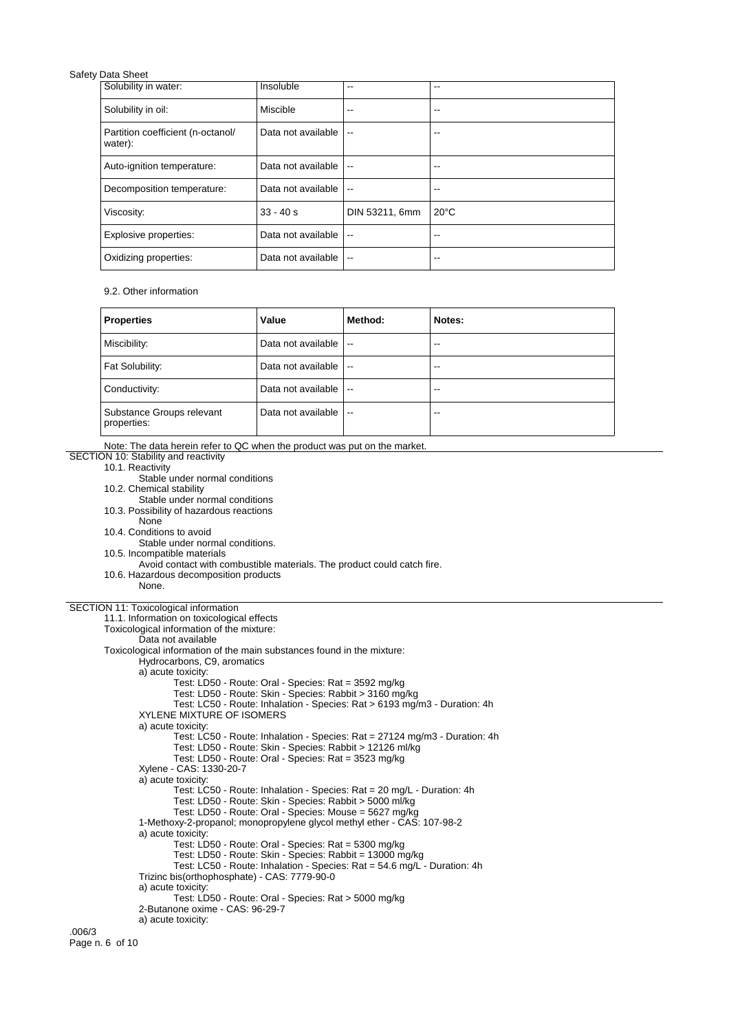| Solubility in water:                         | Insoluble          | --                       | --             |
|----------------------------------------------|--------------------|--------------------------|----------------|
| Solubility in oil:                           | Miscible           | --                       | --             |
| Partition coefficient (n-octanol/<br>water): | Data not available | $\overline{\phantom{a}}$ | --             |
| Auto-ignition temperature:                   | Data not available | $\overline{a}$           | --             |
| Decomposition temperature:                   | Data not available | $-$                      | --             |
| Viscosity:                                   | $33 - 40s$         | DIN 53211, 6mm           | $20^{\circ}$ C |
| Explosive properties:                        | Data not available | --                       | --             |
| Oxidizing properties:                        | Data not available | $-$                      | --             |

9.2. Other information

| <b>Properties</b>                        | Value              | Method:       | Notes: |
|------------------------------------------|--------------------|---------------|--------|
| Miscibility:                             | Data not available | $\sim$ $\sim$ | --     |
| Fat Solubility:                          | Data not available | $\sim$        | --     |
| Conductivity:                            | Data not available | $\sim$        | --     |
| Substance Groups relevant<br>properties: | Data not available | $\sim$ $\sim$ | --     |

Note: The data herein refer to QC when the product was put on the market.

## SECTION 10: Stability and reactivity 10.1. Reactivity

Stable under normal conditions

- 10.2. Chemical stability
	- Stable under normal conditions

10.3. Possibility of hazardous reactions

None

10.4. Conditions to avoid

Stable under normal conditions.

10.5. Incompatible materials

Avoid contact with combustible materials. The product could catch fire.

10.6. Hazardous decomposition products

None.

## SECTION 11: Toxicological information

11.1. Information on toxicological effects Toxicological information of the mixture: Data not available Toxicological information of the main substances found in the mixture: Hydrocarbons, C9, aromatics a) acute toxicity: Test: LD50 - Route: Oral - Species: Rat = 3592 mg/kg Test: LD50 - Route: Skin - Species: Rabbit > 3160 mg/kg Test: LC50 - Route: Inhalation - Species: Rat > 6193 mg/m3 - Duration: 4h XYLENE MIXTURE OF ISOMERS a) acute toxicity: Test: LC50 - Route: Inhalation - Species: Rat = 27124 mg/m3 - Duration: 4h Test: LD50 - Route: Skin - Species: Rabbit > 12126 ml/kg Test: LD50 - Route: Oral - Species: Rat = 3523 mg/kg Xylene - CAS: 1330-20-7 a) acute toxicity: Test: LC50 - Route: Inhalation - Species: Rat = 20 mg/L - Duration: 4h Test: LD50 - Route: Skin - Species: Rabbit > 5000 ml/kg Test: LD50 - Route: Oral - Species: Mouse = 5627 mg/kg 1-Methoxy-2-propanol; monopropylene glycol methyl ether - CAS: 107-98-2 a) acute toxicity: Test: LD50 - Route: Oral - Species: Rat = 5300 mg/kg Test: LD50 - Route: Skin - Species: Rabbit = 13000 mg/kg Test: LC50 - Route: Inhalation - Species: Rat = 54.6 mg/L - Duration: 4h Trizinc bis(orthophosphate) - CAS: 7779-90-0 a) acute toxicity: Test: LD50 - Route: Oral - Species: Rat > 5000 mg/kg 2-Butanone oxime - CAS: 96-29-7 a) acute toxicity: .006/3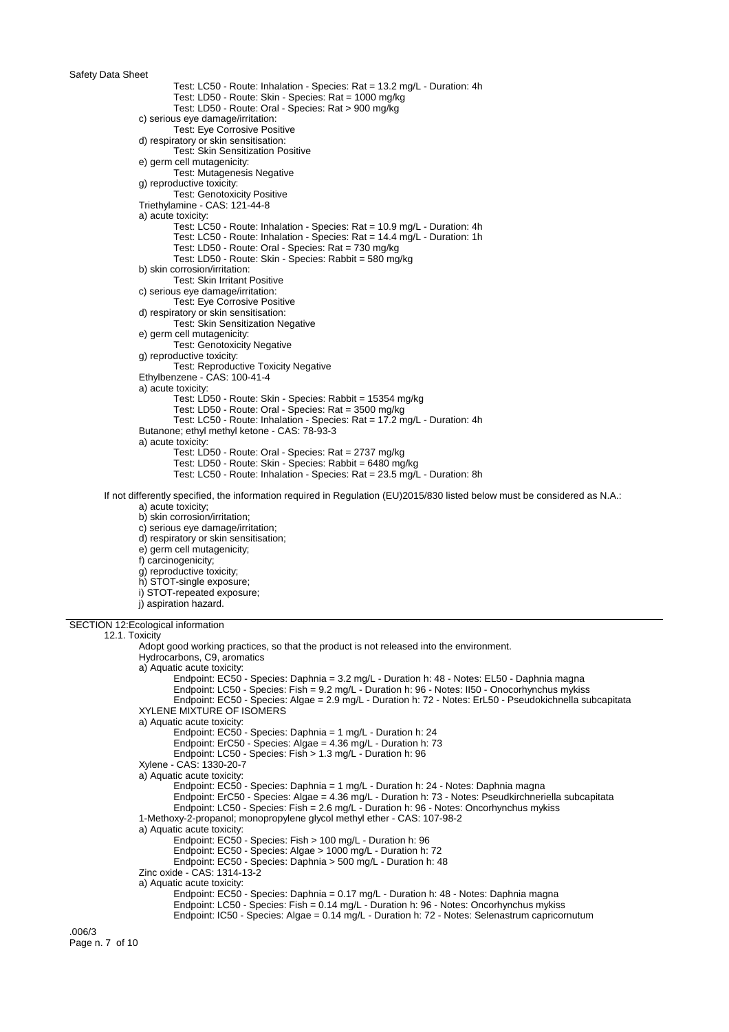Test: LC50 - Route: Inhalation - Species: Rat = 13.2 mg/L - Duration: 4h Test: LD50 - Route: Skin - Species: Rat = 1000 mg/kg Test: LD50 - Route: Oral - Species: Rat > 900 mg/kg c) serious eye damage/irritation: Test: Eye Corrosive Positive d) respiratory or skin sensitisation: Test: Skin Sensitization Positive e) germ cell mutagenicity: Test: Mutagenesis Negative g) reproductive toxicity: Test: Genotoxicity Positive Triethylamine - CAS: 121-44-8 a) acute toxicity: Test: LC50 - Route: Inhalation - Species: Rat = 10.9 mg/L - Duration: 4h Test: LC50 - Route: Inhalation - Species: Rat = 14.4 mg/L - Duration: 1h Test: LD50 - Route: Oral - Species: Rat = 730 mg/kg Test: LD50 - Route: Skin - Species: Rabbit = 580 mg/kg b) skin corrosion/irritation: Test: Skin Irritant Positive c) serious eye damage/irritation: Test: Eye Corrosive Positive d) respiratory or skin sensitisation: Test: Skin Sensitization Negative e) germ cell mutagenicity: Test: Genotoxicity Negative g) reproductive toxicity: Test: Reproductive Toxicity Negative Ethylbenzene - CAS: 100-41-4 a) acute toxicity: Test: LD50 - Route: Skin - Species: Rabbit = 15354 mg/kg Test: LD50 - Route: Oral - Species: Rat = 3500 mg/kg Test: LC50 - Route: Inhalation - Species: Rat = 17.2 mg/L - Duration: 4h Butanone; ethyl methyl ketone - CAS: 78-93-3 a) acute toxicity: Test: LD50 - Route: Oral - Species: Rat = 2737 mg/kg Test: LD50 - Route: Skin - Species: Rabbit = 6480 mg/kg Test: LC50 - Route: Inhalation - Species: Rat = 23.5 mg/L - Duration: 8h If not differently specified, the information required in Regulation (EU)2015/830 listed below must be considered as N.A.: a) acute toxicity; b) skin corrosion/irritation; c) serious eye damage/irritation; d) respiratory or skin sensitisation; e) germ cell mutagenicity; f) carcinogenicity; g) reproductive toxicity; h) STOT-single exposure; i) STOT-repeated exposure; j) aspiration hazard. SECTION 12:Ecological information 12.1. Toxicity Adopt good working practices, so that the product is not released into the environment. Hydrocarbons, C9, aromatics a) Aquatic acute toxicity: Endpoint: EC50 - Species: Daphnia = 3.2 mg/L - Duration h: 48 - Notes: EL50 - Daphnia magna Endpoint: LC50 - Species: Fish = 9.2 mg/L - Duration h: 96 - Notes: II50 - Onocorhynchus mykiss Endpoint: EC50 - Species: Algae = 2.9 mg/L - Duration h: 72 - Notes: ErL50 - Pseudokichnella subcapitata XYLENE MIXTURE OF ISOMERS a) Aquatic acute toxicity: Endpoint: EC50 - Species: Daphnia = 1 mg/L - Duration h: 24 Endpoint: ErC50 - Species: Algae = 4.36 mg/L - Duration h: 73 Endpoint: LC50 - Species: Fish > 1.3 mg/L - Duration h: 96 Xylene - CAS: 1330-20-7 a) Aquatic acute toxicity: Endpoint: EC50 - Species: Daphnia = 1 mg/L - Duration h: 24 - Notes: Daphnia magna Endpoint: ErC50 - Species: Algae = 4.36 mg/L - Duration h: 73 - Notes: Pseudkirchneriella subcapitata Endpoint: LC50 - Species: Fish = 2.6 mg/L - Duration h: 96 - Notes: Oncorhynchus mykiss 1-Methoxy-2-propanol; monopropylene glycol methyl ether - CAS: 107-98-2 a) Aquatic acute toxicity: Endpoint: EC50 - Species: Fish > 100 mg/L - Duration h: 96 Endpoint: EC50 - Species: Algae > 1000 mg/L - Duration h: 72 Endpoint: EC50 - Species: Daphnia > 500 mg/L - Duration h: 48 Zinc oxide - CAS: 1314-13-2 a) Aquatic acute toxicity: Endpoint: EC50 - Species: Daphnia = 0.17 mg/L - Duration h: 48 - Notes: Daphnia magna Endpoint: LC50 - Species: Fish = 0.14 mg/L - Duration h: 96 - Notes: Oncorhynchus mykiss Endpoint: IC50 - Species: Algae = 0.14 mg/L - Duration h: 72 - Notes: Selenastrum capricornutum

.006/3 Page n. 7 of 10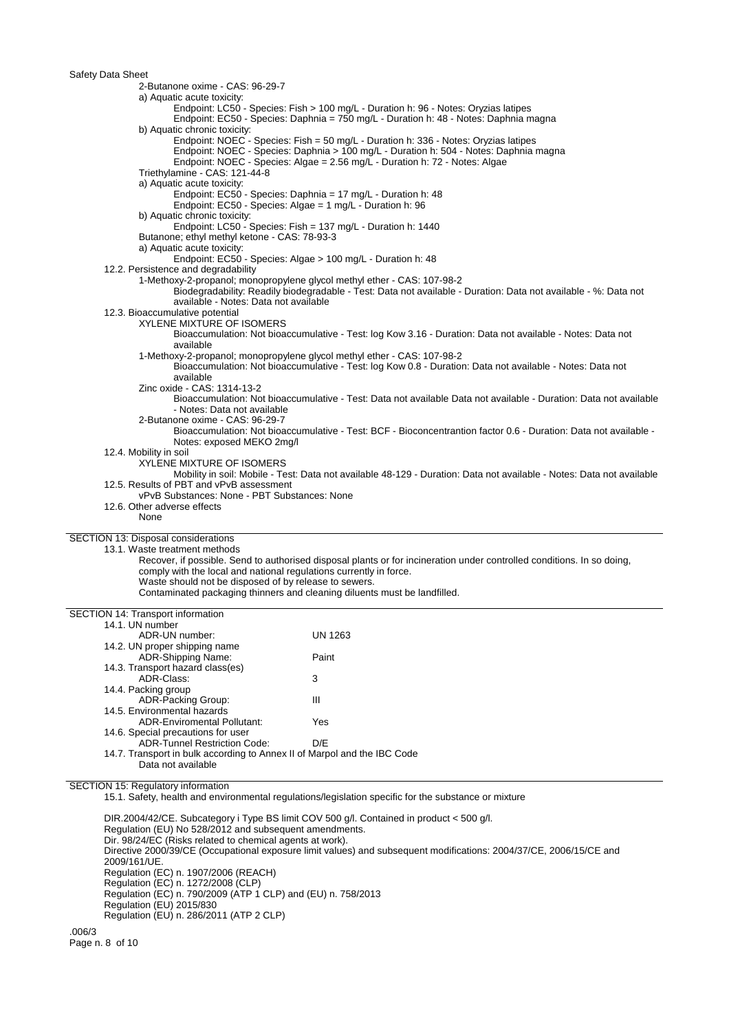Safety Data Sheet 2-Butanone oxime - CAS: 96-29-7 a) Aquatic acute toxicity: Endpoint: LC50 - Species: Fish > 100 mg/L - Duration h: 96 - Notes: Oryzias latipes Endpoint: EC50 - Species: Daphnia = 750 mg/L - Duration h: 48 - Notes: Daphnia magna b) Aquatic chronic toxicity: Endpoint: NOEC - Species: Fish = 50 mg/L - Duration h: 336 - Notes: Oryzias latipes Endpoint: NOEC - Species: Daphnia > 100 mg/L - Duration h: 504 - Notes: Daphnia magna Endpoint: NOEC - Species: Algae = 2.56 mg/L - Duration h: 72 - Notes: Algae Triethylamine - CAS: 121-44-8 a) Aquatic acute toxicity: Endpoint: EC50 - Species: Daphnia = 17 mg/L - Duration h: 48 Endpoint: EC50 - Species: Algae = 1 mg/L - Duration h: 96 b) Aquatic chronic toxicity: Endpoint: LC50 - Species: Fish = 137 mg/L - Duration h: 1440 Butanone; ethyl methyl ketone - CAS: 78-93-3 a) Aquatic acute toxicity: Endpoint: EC50 - Species: Algae > 100 mg/L - Duration h: 48 12.2. Persistence and degradability 1-Methoxy-2-propanol; monopropylene glycol methyl ether - CAS: 107-98-2 Biodegradability: Readily biodegradable - Test: Data not available - Duration: Data not available - %: Data not available - Notes: Data not available 12.3. Bioaccumulative potential XYLENE MIXTURE OF ISOMERS Bioaccumulation: Not bioaccumulative - Test: log Kow 3.16 - Duration: Data not available - Notes: Data not available 1-Methoxy-2-propanol; monopropylene glycol methyl ether - CAS: 107-98-2 Bioaccumulation: Not bioaccumulative - Test: log Kow 0.8 - Duration: Data not available - Notes: Data not available Zinc oxide - CAS: 1314-13-2 Bioaccumulation: Not bioaccumulative - Test: Data not available Data not available - Duration: Data not available - Notes: Data not available 2-Butanone oxime - CAS: 96-29-7 Bioaccumulation: Not bioaccumulative - Test: BCF - Bioconcentrantion factor 0.6 - Duration: Data not available - Notes: exposed MEKO 2mg/l 12.4. Mobility in soil XYLENE MIXTURE OF ISOMERS Mobility in soil: Mobile - Test: Data not available 48-129 - Duration: Data not available - Notes: Data not available 12.5. Results of PBT and vPvB assessment vPvB Substances: None - PBT Substances: None 12.6. Other adverse effects None SECTION 13: Disposal considerations 13.1. Waste treatment methods Recover, if possible. Send to authorised disposal plants or for incineration under controlled conditions. In so doing, comply with the local and national regulations currently in force. Waste should not be disposed of by release to sewers. Contaminated packaging thinners and cleaning diluents must be landfilled. SECTION 14: Transport information 14.1. UN number ADR-UN number: UN 1263 14.2. UN proper shipping name ADR-Shipping Name: Paint 14.3. Transport hazard class(es) ADR-Class: 3 14.4. Packing group ADR-Packing Group: III 14.5. Environmental hazards ADR-Enviromental Pollutant: Yes 14.6. Special precautions for user ADR-Tunnel Restriction Code: D/E 14.7. Transport in bulk according to Annex II of Marpol and the IBC Code Data not available SECTION 15: Regulatory information 15.1. Safety, health and environmental regulations/legislation specific for the substance or mixture DIR.2004/42/CE. Subcategory i Type BS limit COV 500 g/l. Contained in product < 500 g/l. Regulation (EU) No 528/2012 and subsequent amendments.

Dir. 98/24/EC (Risks related to chemical agents at work). Directive 2000/39/CE (Occupational exposure limit values) and subsequent modifications: 2004/37/CE, 2006/15/CE and 2009/161/UE. Regulation (EC) n. 1907/2006 (REACH) Regulation (EC) n. 1272/2008 (CLP) Regulation (EC) n. 790/2009 (ATP 1 CLP) and (EU) n. 758/2013 Regulation (EU) 2015/830 Regulation (EU) n. 286/2011 (ATP 2 CLP)

.006/3 Page n. 8 of 10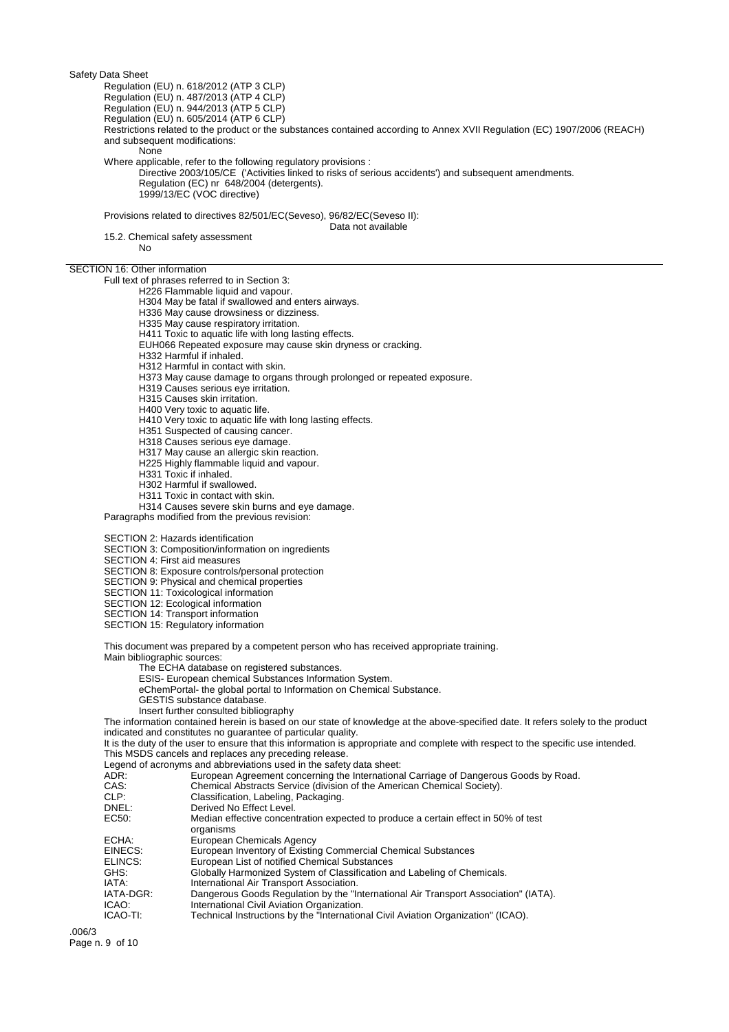Regulation (EU) n. 618/2012 (ATP 3 CLP)

Regulation (EU) n. 487/2013 (ATP 4 CLP)

Regulation (EU) n. 944/2013 (ATP 5 CLP)

Regulation (EU) n. 605/2014 (ATP 6 CLP)

Restrictions related to the product or the substances contained according to Annex XVII Regulation (EC) 1907/2006 (REACH) and subsequent modifications:

None

Where applicable, refer to the following regulatory provisions :

Directive 2003/105/CE ('Activities linked to risks of serious accidents') and subsequent amendments. Regulation (EC) nr 648/2004 (detergents). 1999/13/EC (VOC directive)

Provisions related to directives 82/501/EC(Seveso), 96/82/EC(Seveso II):

Data not available

15.2. Chemical safety assessment

No

SECTION 16: Other information

Full text of phrases referred to in Section 3:

H226 Flammable liquid and vapour.

H304 May be fatal if swallowed and enters airways.

H336 May cause drowsiness or dizziness.

H335 May cause respiratory irritation.

H411 Toxic to aquatic life with long lasting effects.

EUH066 Repeated exposure may cause skin dryness or cracking.

H332 Harmful if inhaled.

H312 Harmful in contact with skin.

H373 May cause damage to organs through prolonged or repeated exposure.

H319 Causes serious eye irritation.

H315 Causes skin irritation.

H400 Very toxic to aquatic life.

H410 Very toxic to aquatic life with long lasting effects.

H351 Suspected of causing cancer.

H318 Causes serious eye damage.

H317 May cause an allergic skin reaction.

H225 Highly flammable liquid and vapour.

H331 Toxic if inhaled.

- H302 Harmful if swallowed.
- H311 Toxic in contact with skin.
- H314 Causes severe skin burns and eye damage.

Paragraphs modified from the previous revision:

SECTION 2: Hazards identification

SECTION 3: Composition/information on ingredients

SECTION 4: First aid measures

SECTION 8: Exposure controls/personal protection

SECTION 9: Physical and chemical properties

SECTION 11: Toxicological information

SECTION 12: Ecological information

SECTION 14: Transport information

SECTION 15: Regulatory information

This document was prepared by a competent person who has received appropriate training.

Main bibliographic sources:

The ECHA database on registered substances.

ESIS- European chemical Substances Information System.

eChemPortal- the global portal to Information on Chemical Substance.

GESTIS substance database.

Insert further consulted bibliography

The information contained herein is based on our state of knowledge at the above-specified date. It refers solely to the product indicated and constitutes no guarantee of particular quality.

It is the duty of the user to ensure that this information is appropriate and complete with respect to the specific use intended. This MSDS cancels and replaces any preceding release.

Legend of acronyms and abbreviations used in the safety data sheet:

| ADR:      | European Agreement concerning the International Carriage of Dangerous Goods by Road.            |
|-----------|-------------------------------------------------------------------------------------------------|
| CAS:      | Chemical Abstracts Service (division of the American Chemical Society).                         |
| CLP:      | Classification, Labeling, Packaging.                                                            |
| DNEL:     | Derived No Effect Level.                                                                        |
| EC50:     | Median effective concentration expected to produce a certain effect in 50% of test<br>organisms |
| ECHA:     | European Chemicals Agency                                                                       |
| EINECS:   | European Inventory of Existing Commercial Chemical Substances                                   |
| ELINCS:   | European List of notified Chemical Substances                                                   |
| GHS:      | Globally Harmonized System of Classification and Labeling of Chemicals.                         |
| IATA:     | International Air Transport Association.                                                        |
| IATA-DGR: | Dangerous Goods Regulation by the "International Air Transport Association" (IATA).             |
| ICAO:     | International Civil Aviation Organization.                                                      |
| ICAO-TI:  | Technical Instructions by the "International Civil Aviation Organization" (ICAO).               |

.006/3 Page n. 9 of 10